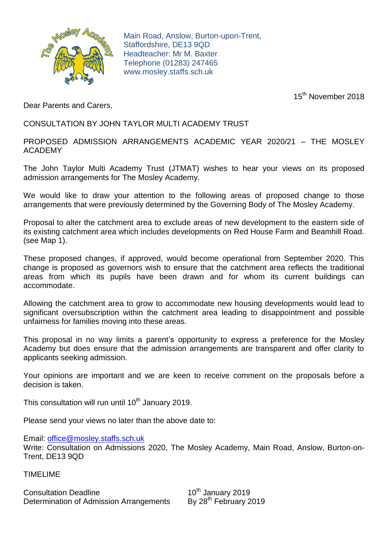

Main Road, Anslow, Burton-upon-Trent, Staffordshire, DE13 9QD Headteacher: Mr M. Baxter Telephone (01283) 247465 www.mosley.staffs.sch.uk

15<sup>th</sup> November 2018

Dear Parents and Carers,

CONSULTATION BY JOHN TAYLOR MULTI ACADEMY TRUST

PROPOSED ADMISSION ARRANGEMENTS ACADEMIC YEAR 2020/21 – THE MOSLEY ACADEMY

The John Taylor Multi Academy Trust (JTMAT) wishes to hear your views on its proposed admission arrangements for The Mosley Academy.

We would like to draw your attention to the following areas of proposed change to those arrangements that were previously determined by the Governing Body of The Mosley Academy.

Proposal to alter the catchment area to exclude areas of new development to the eastern side of its existing catchment area which includes developments on Red House Farm and Beamhill Road. (see Map 1).

These proposed changes, if approved, would become operational from September 2020. This change is proposed as governors wish to ensure that the catchment area reflects the traditional areas from which its pupils have been drawn and for whom its current buildings can accommodate.

Allowing the catchment area to grow to accommodate new housing developments would lead to significant oversubscription within the catchment area leading to disappointment and possible unfairness for families moving into these areas.

This proposal in no way limits a parent's opportunity to express a preference for the Mosley Academy but does ensure that the admission arrangements are transparent and offer clarity to applicants seeking admission.

Your opinions are important and we are keen to receive comment on the proposals before a decision is taken.

This consultation will run until  $10<sup>th</sup>$  January 2019.

Please send your views no later than the above date to:

Email: [office@mosley.staffs.sch.uk](mailto:office@mosley.staffs.sch.uk)

Write: Consultation on Admissions 2020, The Mosley Academy, Main Road, Anslow, Burton-on-Trent, DE13 9QD

TIMELIME

Consultation Deadline 10<sup>th</sup> January 2019<br>Determination of Admission Arrangements By 28<sup>th</sup> February 2019 Determination of Admission Arrangements

10<sup>th</sup> January 2019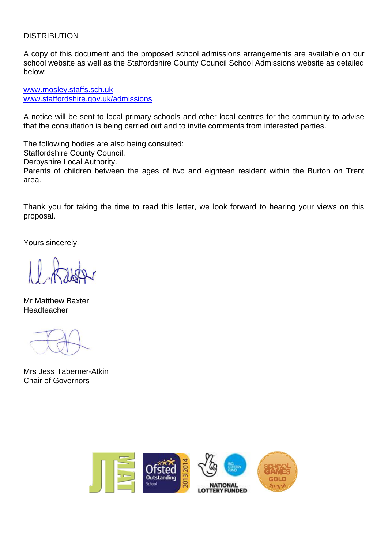## **DISTRIBUTION**

A copy of this document and the proposed school admissions arrangements are available on our school website as well as the Staffordshire County Council School Admissions website as detailed below:

[www.mosley.staffs.sch.uk](http://www.mosley.staffs.sch.uk/) [www.staffordshire.gov.uk/admissions](http://www.staffordshire.gov.uk/admissions)

A notice will be sent to local primary schools and other local centres for the community to advise that the consultation is being carried out and to invite comments from interested parties.

The following bodies are also being consulted: Staffordshire County Council. Derbyshire Local Authority. Parents of children between the ages of two and eighteen resident within the Burton on Trent area.

Thank you for taking the time to read this letter, we look forward to hearing your views on this proposal.

Yours sincerely,

Mr Matthew Baxter Headteacher

Mrs Jess Taberner-Atkin Chair of Governors